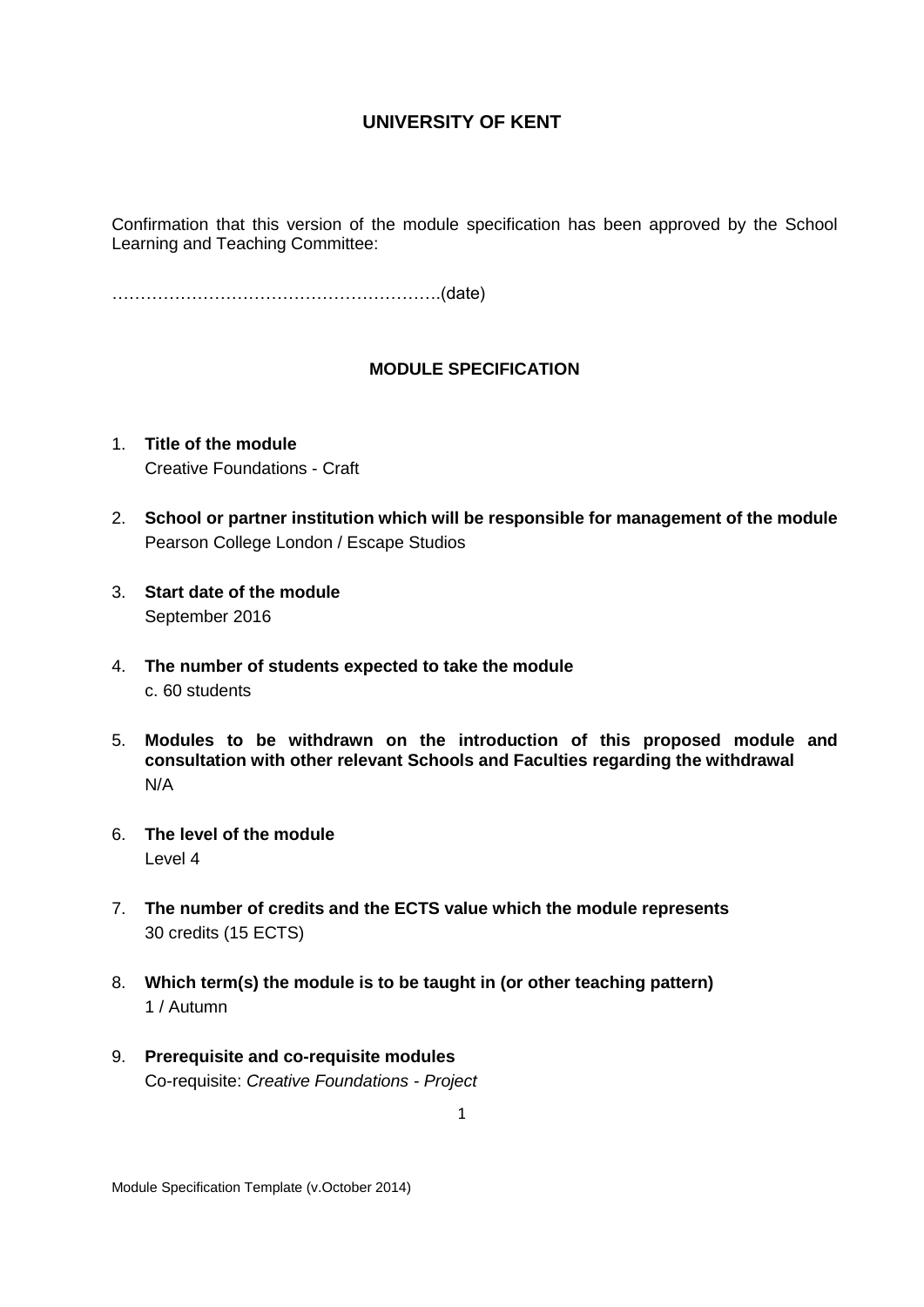Confirmation that this version of the module specification has been approved by the School Learning and Teaching Committee:

………………………………………………….(date)

### **MODULE SPECIFICATION**

- 1. **Title of the module** Creative Foundations - Craft
- 2. **School or partner institution which will be responsible for management of the module** Pearson College London / Escape Studios
- 3. **Start date of the module** September 2016
- 4. **The number of students expected to take the module** c. 60 students
- 5. **Modules to be withdrawn on the introduction of this proposed module and consultation with other relevant Schools and Faculties regarding the withdrawal** N/A
- 6. **The level of the module**  Level 4
- 7. **The number of credits and the ECTS value which the module represents**  30 credits (15 ECTS)
- 8. **Which term(s) the module is to be taught in (or other teaching pattern)** 1 / Autumn
- 9. **Prerequisite and co-requisite modules** Co-requisite: *Creative Foundations - Project*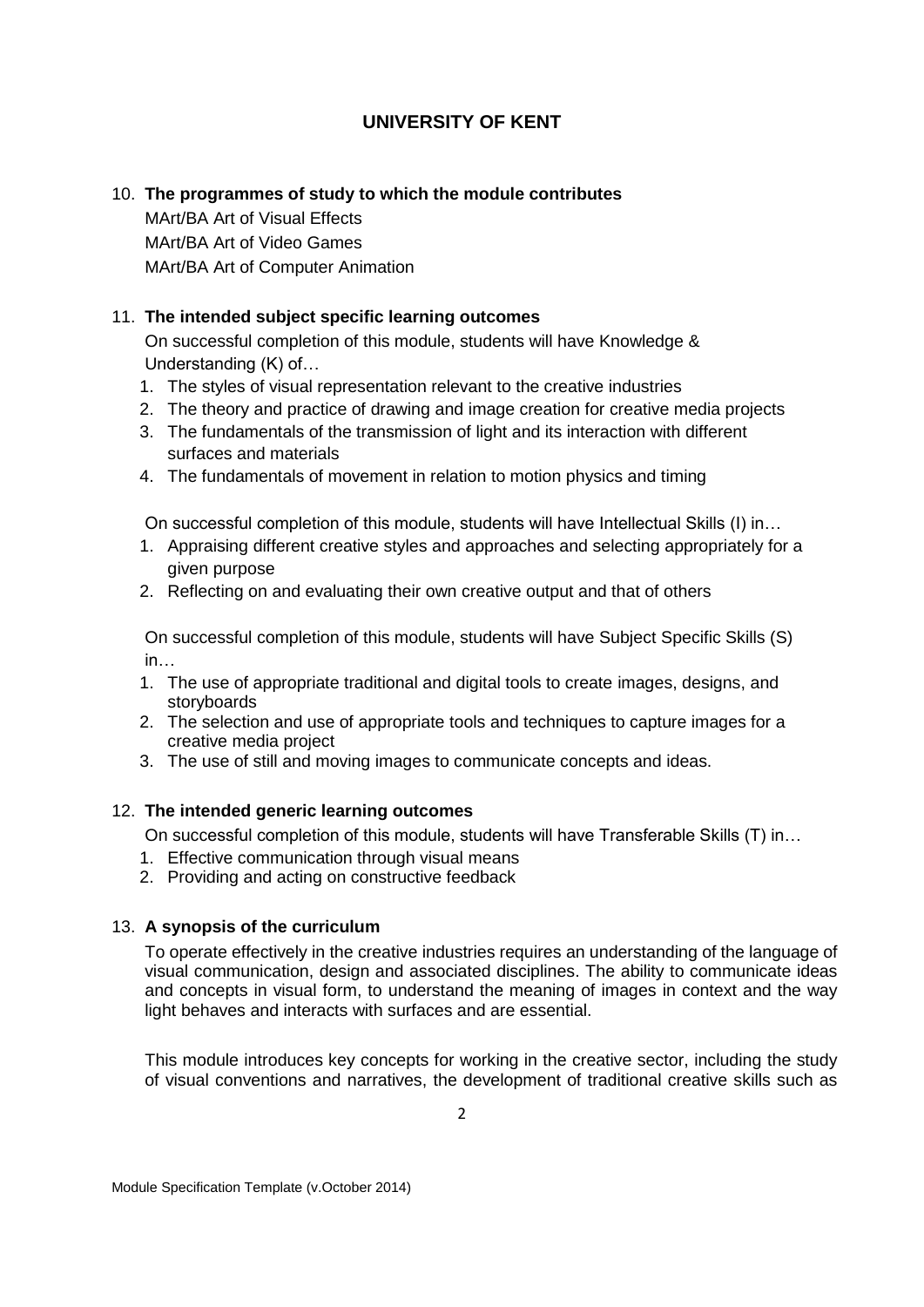### 10. **The programmes of study to which the module contributes**

MArt/BA Art of Visual Effects MArt/BA Art of Video Games MArt/BA Art of Computer Animation

### 11. **The intended subject specific learning outcomes**

On successful completion of this module, students will have Knowledge & Understanding (K) of…

- 1. The styles of visual representation relevant to the creative industries
- 2. The theory and practice of drawing and image creation for creative media projects
- 3. The fundamentals of the transmission of light and its interaction with different surfaces and materials
- 4. The fundamentals of movement in relation to motion physics and timing

On successful completion of this module, students will have Intellectual Skills (I) in…

- 1. Appraising different creative styles and approaches and selecting appropriately for a given purpose
- 2. Reflecting on and evaluating their own creative output and that of others

On successful completion of this module, students will have Subject Specific Skills (S) in…

- 1. The use of appropriate traditional and digital tools to create images, designs, and storyboards
- 2. The selection and use of appropriate tools and techniques to capture images for a creative media project
- 3. The use of still and moving images to communicate concepts and ideas.

### 12. **The intended generic learning outcomes**

On successful completion of this module, students will have Transferable Skills (T) in…

- 1. Effective communication through visual means
- 2. Providing and acting on constructive feedback

### 13. **A synopsis of the curriculum**

To operate effectively in the creative industries requires an understanding of the language of visual communication, design and associated disciplines. The ability to communicate ideas and concepts in visual form, to understand the meaning of images in context and the way light behaves and interacts with surfaces and are essential.

This module introduces key concepts for working in the creative sector, including the study of visual conventions and narratives, the development of traditional creative skills such as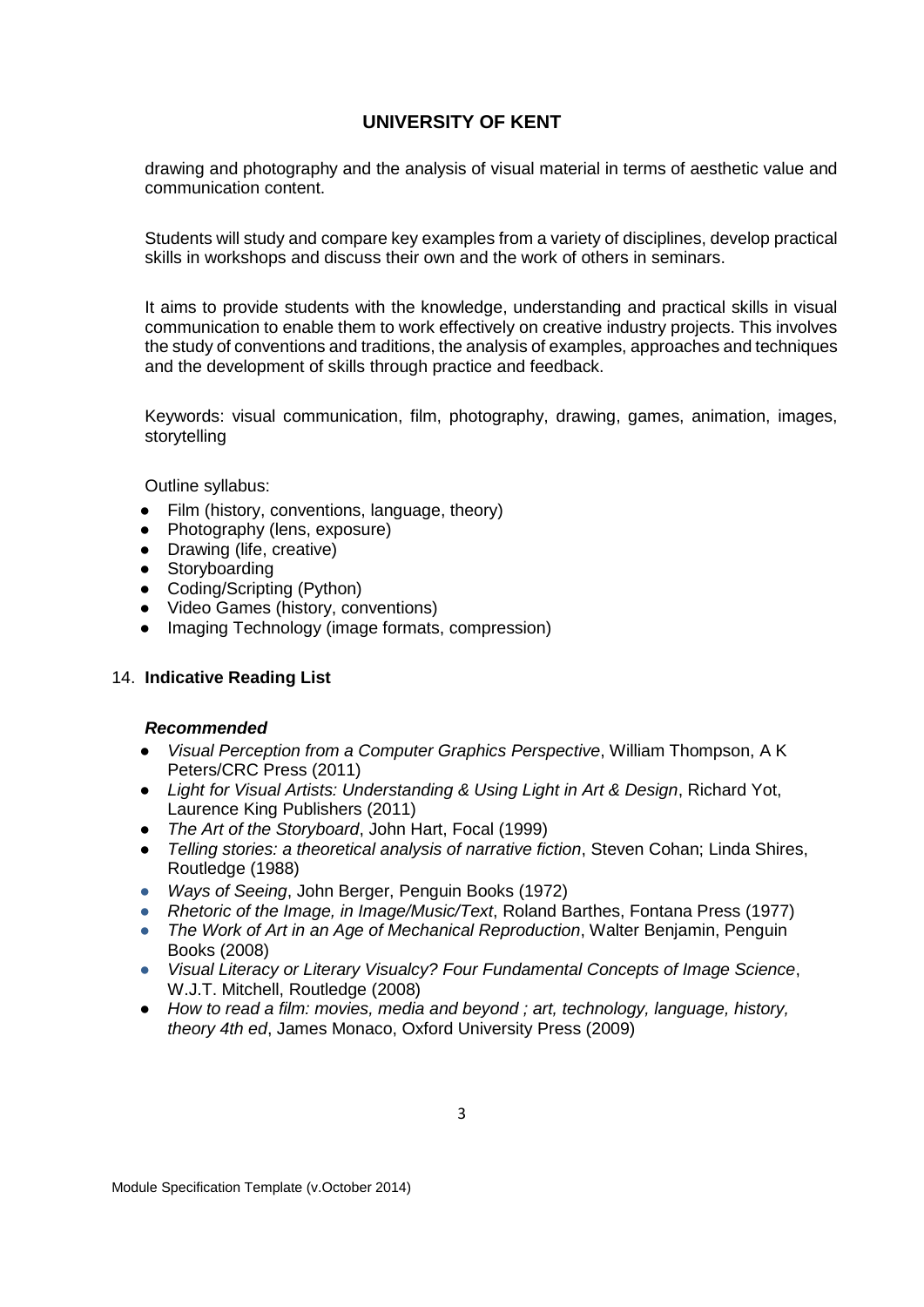drawing and photography and the analysis of visual material in terms of aesthetic value and communication content.

Students will study and compare key examples from a variety of disciplines, develop practical skills in workshops and discuss their own and the work of others in seminars.

It aims to provide students with the knowledge, understanding and practical skills in visual communication to enable them to work effectively on creative industry projects. This involves the study of conventions and traditions, the analysis of examples, approaches and techniques and the development of skills through practice and feedback.

Keywords: visual communication, film, photography, drawing, games, animation, images, storytelling

Outline syllabus:

- Film (history, conventions, language, theory)
- Photography (lens, exposure)
- Drawing (life, creative)
- Storyboarding
- Coding/Scripting (Python)
- Video Games (history, conventions)
- Imaging Technology (image formats, compression)

### 14. **Indicative Reading List**

### *Recommended*

- *Visual Perception from a Computer Graphics Perspective*, William Thompson, A K Peters/CRC Press (2011)
- *Light for Visual Artists: Understanding & Using Light in Art & Design*, Richard Yot, Laurence King Publishers (2011)
- *The Art of the Storyboard*, John Hart, Focal (1999)
- *Telling stories: a theoretical analysis of narrative fiction*, Steven Cohan; Linda Shires, Routledge (1988)
- *Ways of Seeing*, John Berger, Penguin Books (1972)
- *Rhetoric of the Image, in Image/Music/Text*, Roland Barthes, Fontana Press (1977)
- *The Work of Art in an Age of Mechanical Reproduction*, Walter Benjamin, Penguin Books (2008)
- *Visual Literacy or Literary Visualcy? Four Fundamental Concepts of Image Science*, W.J.T. Mitchell, Routledge (2008)
- *How to read a film: movies, media and beyond ; art, technology, language, history, theory 4th ed*, James Monaco, Oxford University Press (2009)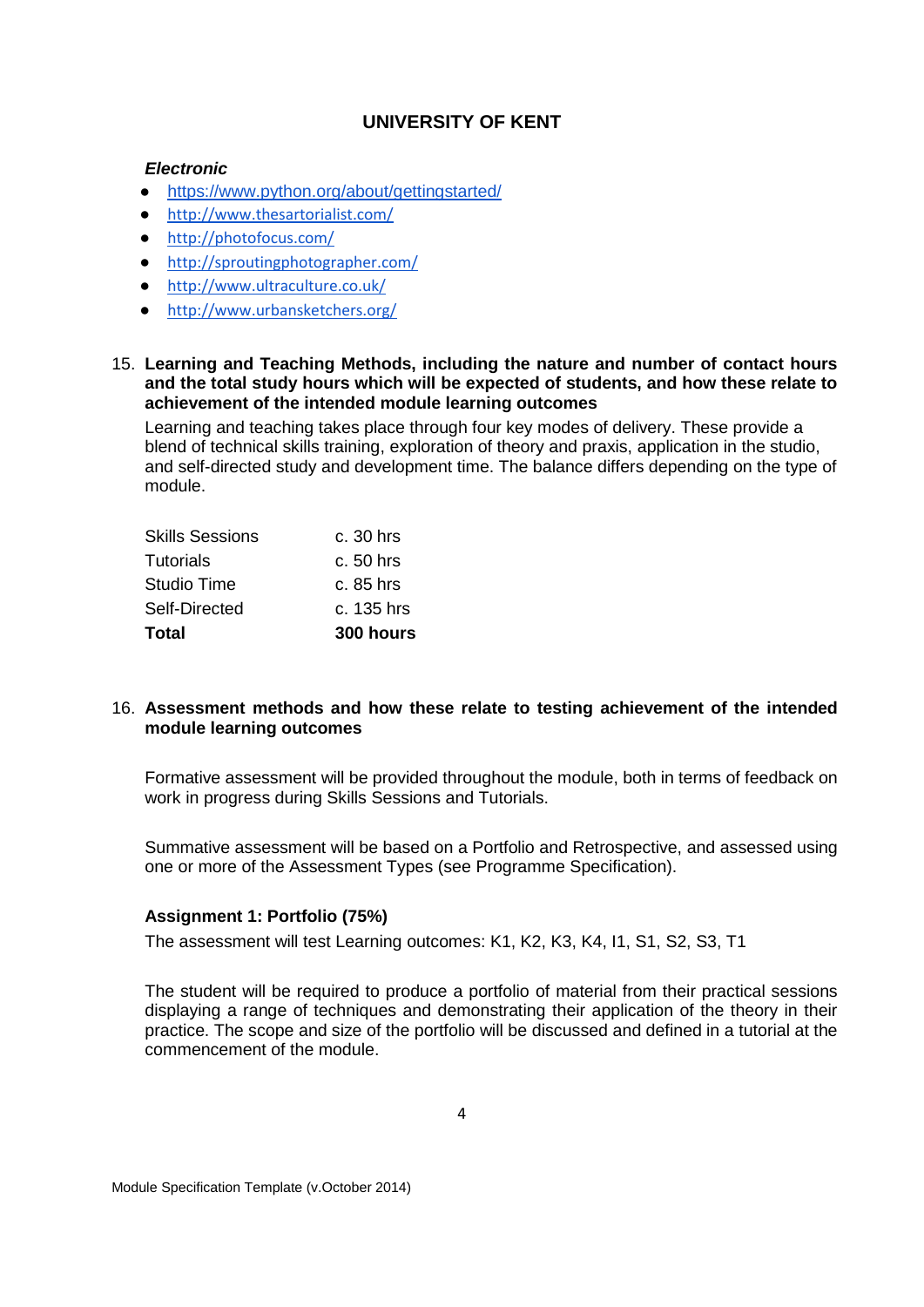#### *Electronic*

- <https://www.python.org/about/gettingstarted/>
- <http://www.thesartorialist.com/>
- <http://photofocus.com/>
- <http://sproutingphotographer.com/>
- <http://www.ultraculture.co.uk/>
- <http://www.urbansketchers.org/>
- 15. **Learning and Teaching Methods, including the nature and number of contact hours and the total study hours which will be expected of students, and how these relate to achievement of the intended module learning outcomes**

Learning and teaching takes place through four key modes of delivery. These provide a blend of technical skills training, exploration of theory and praxis, application in the studio, and self-directed study and development time. The balance differs depending on the type of module.

| <b>Total</b>           | 300 hours    |
|------------------------|--------------|
| Self-Directed          | $c. 135$ hrs |
| Studio Time            | $c.85$ hrs   |
| Tutorials              | $c.50$ hrs   |
| <b>Skills Sessions</b> | $c.30$ hrs   |

### 16. **Assessment methods and how these relate to testing achievement of the intended module learning outcomes**

Formative assessment will be provided throughout the module, both in terms of feedback on work in progress during Skills Sessions and Tutorials.

Summative assessment will be based on a Portfolio and Retrospective, and assessed using one or more of the Assessment Types (see Programme Specification).

### **Assignment 1: Portfolio (75%)**

The assessment will test Learning outcomes: K1, K2, K3, K4, I1, S1, S2, S3, T1

The student will be required to produce a portfolio of material from their practical sessions displaying a range of techniques and demonstrating their application of the theory in their practice. The scope and size of the portfolio will be discussed and defined in a tutorial at the commencement of the module.